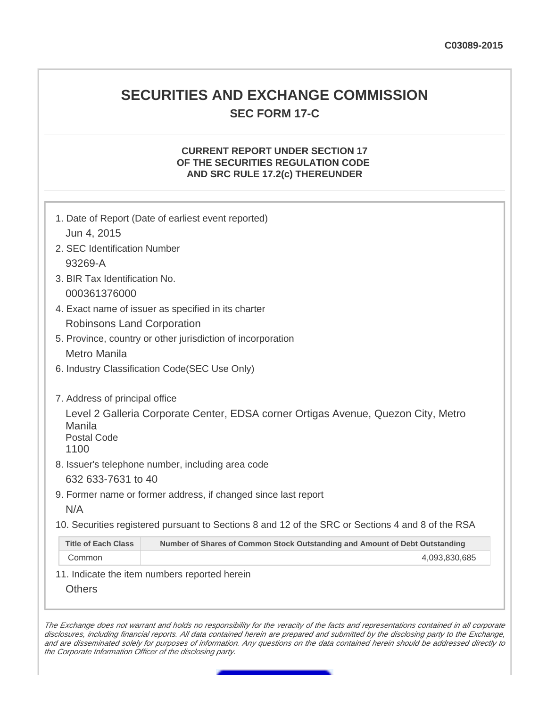## **SECURITIES AND EXCHANGE COMMISSION SEC FORM 17-C**

## **CURRENT REPORT UNDER SECTION 17 OF THE SECURITIES REGULATION CODE AND SRC RULE 17.2(c) THEREUNDER**

|                                      | 1. Date of Report (Date of earliest event reported)                                               |  |
|--------------------------------------|---------------------------------------------------------------------------------------------------|--|
| Jun 4, 2015                          |                                                                                                   |  |
| 2. SEC Identification Number         |                                                                                                   |  |
| 93269-A                              |                                                                                                   |  |
|                                      |                                                                                                   |  |
| 3. BIR Tax Identification No.        |                                                                                                   |  |
| 000361376000                         |                                                                                                   |  |
|                                      | 4. Exact name of issuer as specified in its charter                                               |  |
| Robinsons Land Corporation           |                                                                                                   |  |
|                                      | 5. Province, country or other jurisdiction of incorporation                                       |  |
| <b>Metro Manila</b>                  |                                                                                                   |  |
|                                      | 6. Industry Classification Code(SEC Use Only)                                                     |  |
| 7. Address of principal office       |                                                                                                   |  |
| Manila<br><b>Postal Code</b><br>1100 | Level 2 Galleria Corporate Center, EDSA corner Ortigas Avenue, Quezon City, Metro                 |  |
|                                      | 8. Issuer's telephone number, including area code                                                 |  |
| 632 633-7631 to 40                   |                                                                                                   |  |
|                                      | 9. Former name or former address, if changed since last report                                    |  |
| N/A                                  |                                                                                                   |  |
|                                      | 10. Securities registered pursuant to Sections 8 and 12 of the SRC or Sections 4 and 8 of the RSA |  |
| <b>Title of Each Class</b>           | Number of Shares of Common Stock Outstanding and Amount of Debt Outstanding                       |  |
| Common                               | 4,093,830,685                                                                                     |  |
|                                      | 11. Indicate the item numbers reported herein                                                     |  |
| <b>Others</b>                        |                                                                                                   |  |
|                                      |                                                                                                   |  |

The Exchange does not warrant and holds no responsibility for the veracity of the facts and representations contained in all corporate disclosures, including financial reports. All data contained herein are prepared and submitted by the disclosing party to the Exchange, and are disseminated solely for purposes of information. Any questions on the data contained herein should be addressed directly to the Corporate Information Officer of the disclosing party.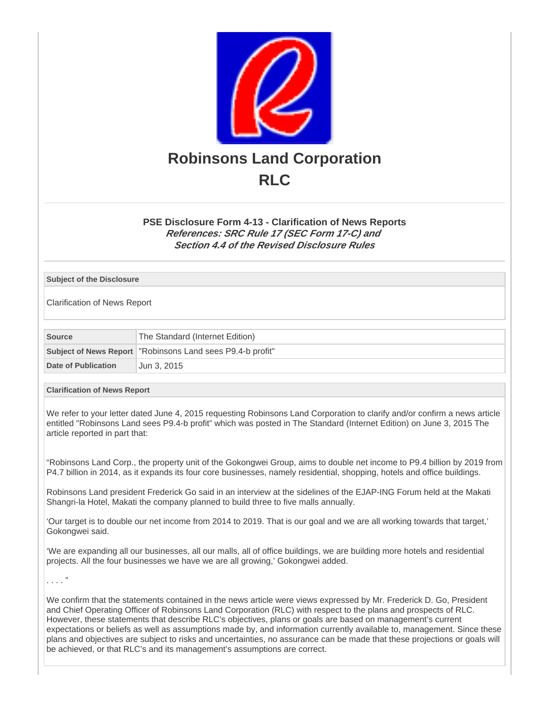

## **PSE Disclosure Form 4-13 - Clarification of News Reports References: SRC Rule 17 (SEC Form 17-C) and Section 4.4 of the Revised Disclosure Rules**

**Subject of the Disclosure**

Clarification of News Report

| Source              | The Standard (Internet Edition)                              |  |
|---------------------|--------------------------------------------------------------|--|
|                     | Subject of News Report   "Robinsons Land sees P9.4-b profit" |  |
| Date of Publication | Jun 3. 2015                                                  |  |

## **Clarification of News Report**

We refer to your letter dated June 4, 2015 requesting Robinsons Land Corporation to clarify and/or confirm a news article entitled "Robinsons Land sees P9.4-b profit" which was posted in The Standard (Internet Edition) on June 3, 2015 The article reported in part that:

"Robinsons Land Corp., the property unit of the Gokongwei Group, aims to double net income to P9.4 billion by 2019 from P4.7 billion in 2014, as it expands its four core businesses, namely residential, shopping, hotels and office buildings.

Robinsons Land president Frederick Go said in an interview at the sidelines of the EJAP-ING Forum held at the Makati Shangri-la Hotel, Makati the company planned to build three to five malls annually.

'Our target is to double our net income from 2014 to 2019. That is our goal and we are all working towards that target,' Gokongwei said.

'We are expanding all our businesses, all our malls, all of office buildings, we are building more hotels and residential projects. All the four businesses we have we are all growing,' Gokongwei added.

. . . . "

We confirm that the statements contained in the news article were views expressed by Mr. Frederick D. Go, President and Chief Operating Officer of Robinsons Land Corporation (RLC) with respect to the plans and prospects of RLC. However, these statements that describe RLC's objectives, plans or goals are based on management's current expectations or beliefs as well as assumptions made by, and information currently available to, management. Since these plans and objectives are subject to risks and uncertainties, no assurance can be made that these projections or goals will be achieved, or that RLC's and its management's assumptions are correct.